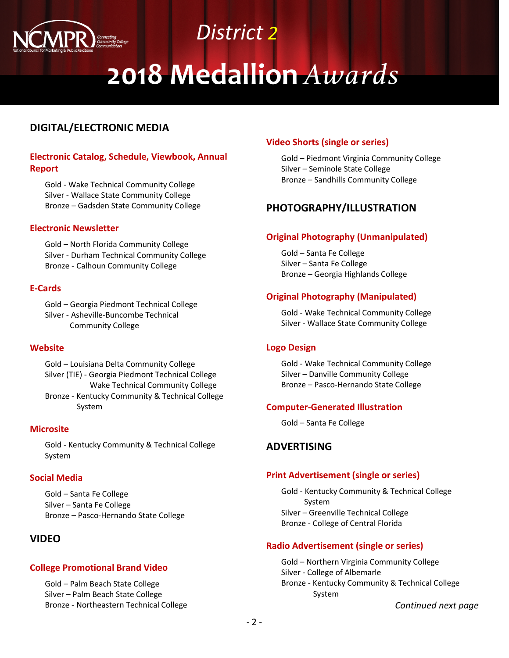

# **DIGITAL/ELECTRONIC MEDIA**

## **Electronic Catalog, Schedule, Viewbook, Annual Report**

Gold - Wake Technical Community College Silver - Wallace State Community College Bronze – Gadsden State Community College

### **Electronic Newsletter**

Gold – North Florida Community College Silver - Durham Technical Community College Bronze - Calhoun Community College

## **E-Cards**

Gold – Georgia Piedmont Technical College Silver - Asheville-Buncombe Technical Community College

#### **Website**

Gold – Louisiana Delta Community College Silver (TIE) - Georgia Piedmont Technical College Wake Technical Community College Bronze - Kentucky Community & Technical College System

#### **Microsite**

Gold - Kentucky Community & Technical College System

#### **Social Media**

Gold – Santa Fe College Silver – Santa Fe College Bronze – Pasco-Hernando State College

# **VIDEO**

## **College Promotional Brand Video**

Gold – Palm Beach State College Silver – Palm Beach State College Bronze - Northeastern Technical College

### **Video Shorts (single or series)**

Gold – Piedmont Virginia Community College Silver – Seminole State College Bronze – Sandhills Community College

# **PHOTOGRAPHY/ILLUSTRATION**

## **Original Photography (Unmanipulated)**

Gold – Santa Fe College Silver – Santa Fe College Bronze – Georgia Highlands College

## **Original Photography (Manipulated)**

Gold - Wake Technical Community College Silver - Wallace State Community College

## **Logo Design**

Gold - Wake Technical Community College Silver – Danville Community College Bronze – Pasco-Hernando State College

## **Computer-Generated Illustration**

Gold – Santa Fe College

## **ADVERTISING**

## **Print Advertisement (single or series)**

Gold - Kentucky Community & Technical College System Silver – Greenville Technical College Bronze - College of Central Florida

#### **Radio Advertisement (single or series)**

Gold – Northern Virginia Community College Silver - College of Albemarle Bronze - Kentucky Community & Technical College System

*Continued next page*